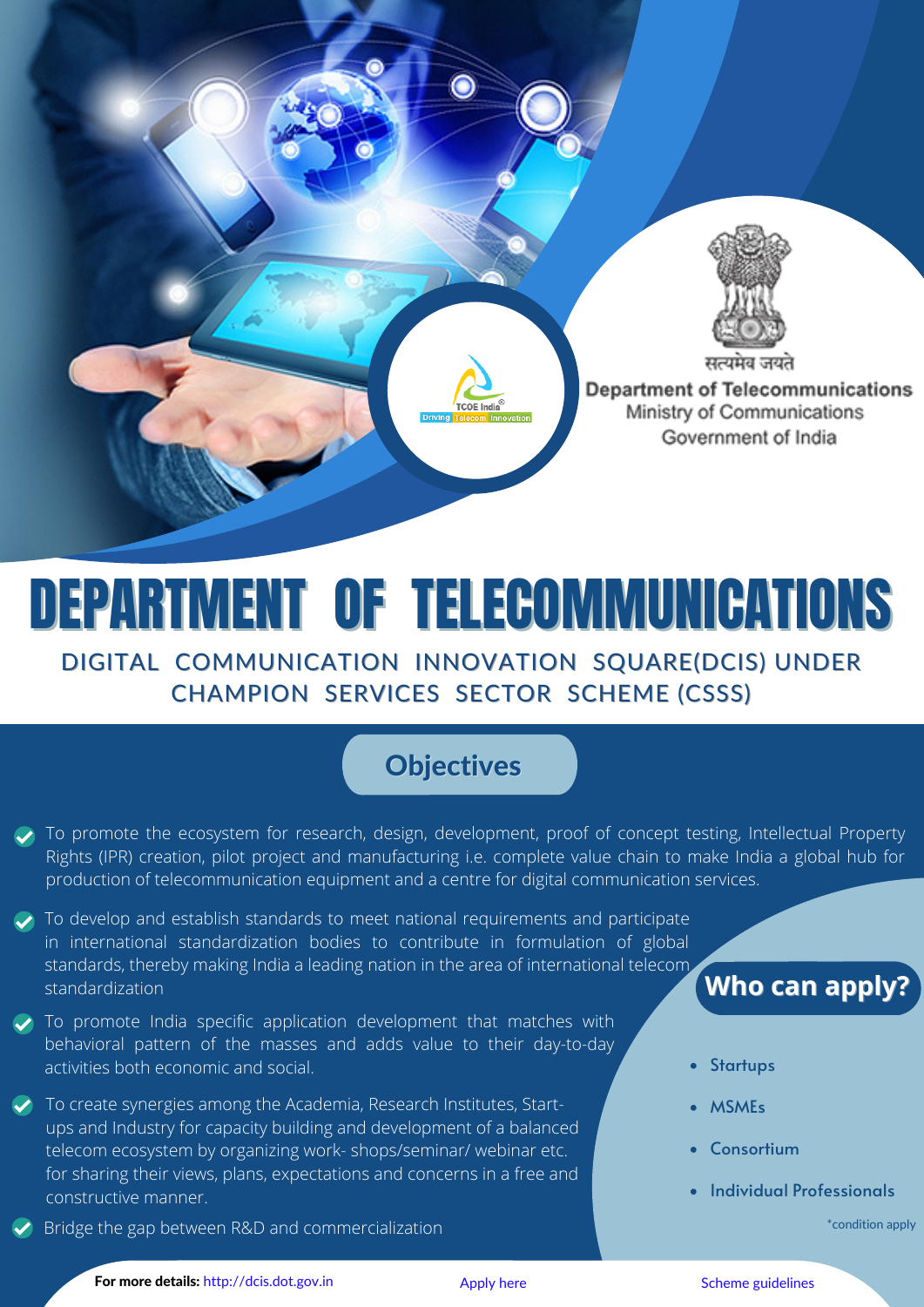

# DEPARTMENT OF TELECOMMUNICATIONS

DIGITAL COMMUNICATION INNOVATION SQUARE(DCIS) UNDER CHAMPION SERVICES SECTOR SCHEME (CSSS)

#### **Objectives**

- To promote the ecosystem for research, design, development, proof of concept testing, Intellectual Property Rights (IPR) creation, pilot project and manufacturing i.e. complete value chain to make India a global hub for production of telecommunication equipment and a centre for digital communication services.
- $\triangledown$  To develop and establish standards to meet national requirements and participate in international standardization bodies to contribute in formulation of global standards, thereby making India a leading nation in the area of international telecom standardization
- $\blacktriangleright$  To promote India specific application development that matches with behavioral pattern of the masses and adds value to their day-to-day activities both economic and social.
- To create synergies among the Academia, Research Institutes, Startups and Industry for capacity building and development of a balanced telecom ecosystem by organizing work- shops/seminar/ webinar etc. for sharing their views, plans, expectations and concerns in a free and constructive manner.
- Bridge the gap between R&D and commercialization

#### **Who can apply?**

- **Startups**
- MSMEs
- Consortium
- Individual Professionals

\*condition apply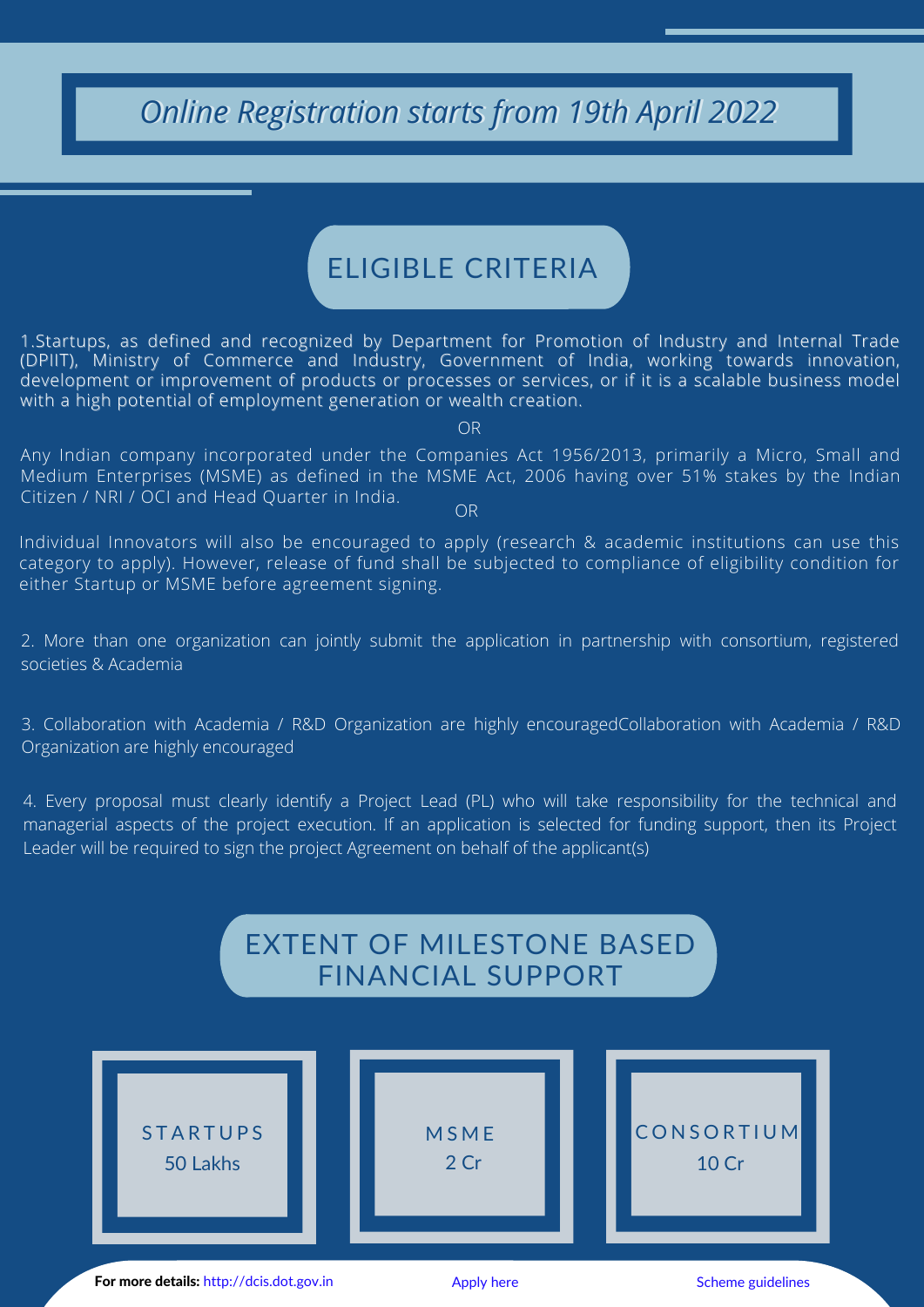### *Online Registration starts from 19th April 2022*

### ELIGIBLE CRITERIA

1.Startups, as defined and recognized by Department for Promotion of Industry and Internal Trade (DPIIT), Ministry of Commerce and Industry, Government of India, working towards innovation, development or improvement of products or processes or services, or if it is a scalable business model with a high potential of employment generation or wealth creation.

OR

Any Indian company incorporated under the Companies Act 1956/2013, primarily a Micro, Small and Medium Enterprises (MSME) as defined in the MSME Act, 2006 having over 51% stakes by the Indian Citizen / NRI / OCI and Head Quarter in India. OR

Individual Innovators will also be encouraged to apply (research & academic institutions can use this category to apply). However, release of fund shall be subjected to compliance of eligibility condition for either Startup or MSME before agreement signing.

2. More than one organization can jointly submit the application in partnership with consortium, registered societies & Academia

3. Collaboration with Academia / R&D Organization are highly encouragedCollaboration with Academia / R&D Organization are highly encouraged

4. Every proposal must clearly identify a Project Lead (PL) who will take responsibility for the technical and managerial aspects of the project execution. If an application is selected for funding support, then its Project Leader will be required to sign the project Agreement on behalf of the applicant(s)